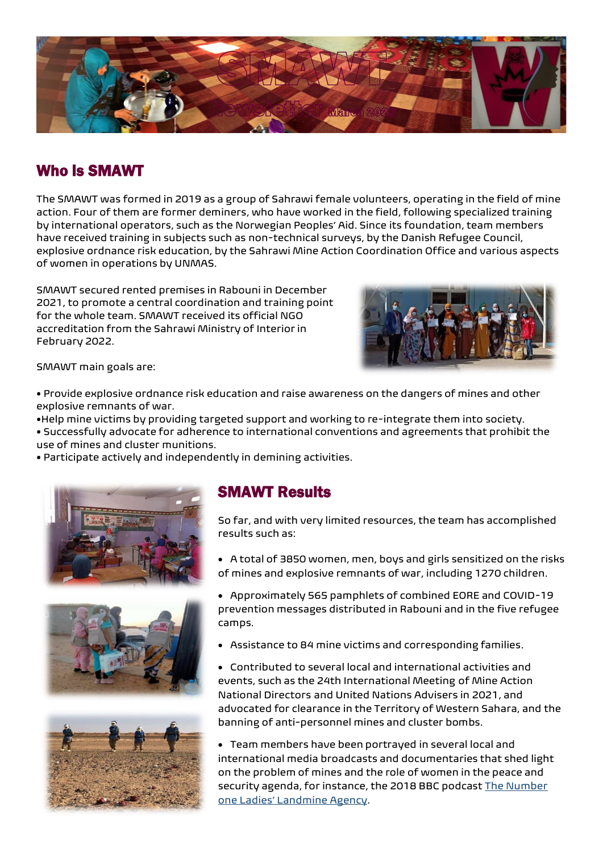

# Who is SMAWT

The SMAWT was formed in 2019 as a group of Sahrawi female volunteers, operating in the field of mine action. Four of them are former deminers, who have worked in the field, following specialized training by international operators, such as the Norwegian Peoples' Aid. Since its foundation, team members have received training in subjects such as non-technical surveys, by the Danish Refugee Council, explosive ordnance risk education, by the Sahrawi Mine Action Coordination Office and various aspects of women in operations by UNMAS.

SMAWT secured rented premises in Rabouni in December 2021, to promote a central coordination and training point for the whole team. SMAWT received its official NGO accreditation from the Sahrawi Ministry of Interior in February 2022.



SMAWT main goals are:

• Provide explosive ordnance risk education and raise awareness on the dangers of mines and other explosive remnants of war.

•Help mine victims by providing targeted support and working to re-integrate them into society.

- Successfully advocate for adherence to international conventions and agreements that prohibit the use of mines and cluster munitions.
- Participate actively and independently in demining activities.







## SMAWT Results

So far, and with very limited resources, the team has accomplished results such as:

- A total of 3850 women, men, boys and girls sensitized on the risks of mines and explosive remnants of war, including 1270 children.
- Approximately 565 pamphlets of combined EORE and COVID-19 prevention messages distributed in Rabouni and in the five refugee camps.
- Assistance to 84 mine victims and corresponding families .
- Contributed to several local and international activities and events, such as the 24th International Meeting of Mine Action National Directors and United Nations Advisers in 2021, and advocated for clearance in the Territory of Western Sahara, and the banning of anti-personnel mines and cluster bombs.

• Team members have been portrayed in several local and international media broadcasts and documentaries that shed light on the problem of mines and the role of women in the peace and security agenda, for instance, the 2018 BBC podcast The Number [one Ladies' Landmine Agency](https://www.bbc.co.uk/programmes/p06sbqzx).